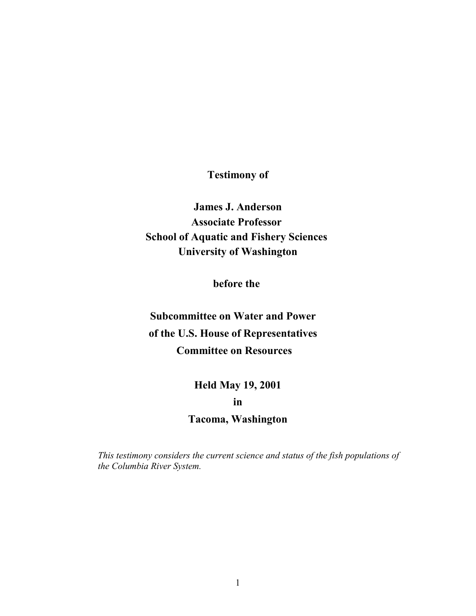**Testimony of**

**James J. Anderson Associate Professor School of Aquatic and Fishery Sciences University of Washington**

**before the** 

**Subcommittee on Water and Power of the U.S. House of Representatives Committee on Resources**

> **Held May 19, 2001 in**

**Tacoma, Washington**

*This testimony considers the current science and status of the fish populations of the Columbia River System.*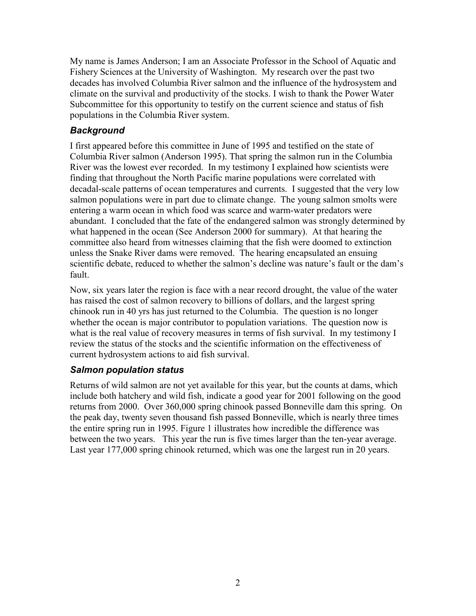My name is James Anderson; I am an Associate Professor in the School of Aquatic and Fishery Sciences at the University of Washington. My research over the past two decades has involved Columbia River salmon and the influence of the hydrosystem and climate on the survival and productivity of the stocks. I wish to thank the Power Water Subcommittee for this opportunity to testify on the current science and status of fish populations in the Columbia River system.

# *Background*

I first appeared before this committee in June of 1995 and testified on the state of Columbia River salmon (Anderson 1995). That spring the salmon run in the Columbia River was the lowest ever recorded. In my testimony I explained how scientists were finding that throughout the North Pacific marine populations were correlated with decadal-scale patterns of ocean temperatures and currents. I suggested that the very low salmon populations were in part due to climate change. The young salmon smolts were entering a warm ocean in which food was scarce and warm-water predators were abundant. I concluded that the fate of the endangered salmon was strongly determined by what happened in the ocean (See Anderson 2000 for summary). At that hearing the committee also heard from witnesses claiming that the fish were doomed to extinction unless the Snake River dams were removed. The hearing encapsulated an ensuing scientific debate, reduced to whether the salmon's decline was nature's fault or the dam's fault.

Now, six years later the region is face with a near record drought, the value of the water has raised the cost of salmon recovery to billions of dollars, and the largest spring chinook run in 40 yrs has just returned to the Columbia. The question is no longer whether the ocean is major contributor to population variations. The question now is what is the real value of recovery measures in terms of fish survival. In my testimony I review the status of the stocks and the scientific information on the effectiveness of current hydrosystem actions to aid fish survival.

# *Salmon population status*

Returns of wild salmon are not yet available for this year, but the counts at dams, which include both hatchery and wild fish, indicate a good year for 2001 following on the good returns from 2000. Over 360,000 spring chinook passed Bonneville dam this spring. On the peak day, twenty seven thousand fish passed Bonneville, which is nearly three times the entire spring run in 1995. [Figure 1](#page-2-0) illustrates how incredible the difference was between the two years. This year the run is five times larger than the ten-year average. Last year 177,000 spring chinook returned, which was one the largest run in 20 years.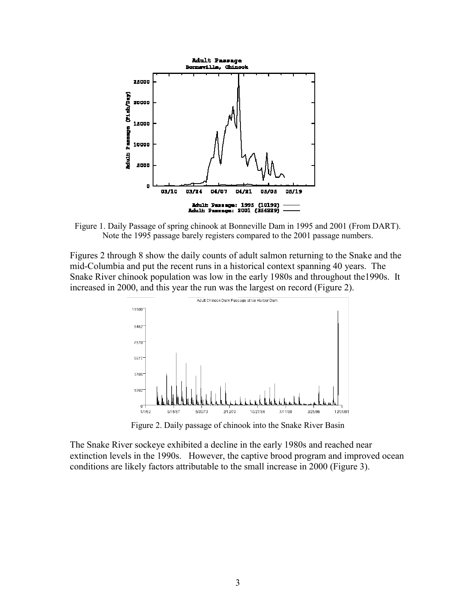<span id="page-2-0"></span>

Figure 1. Daily Passage of spring chinook at Bonneville Dam in 1995 and 2001 (From DART). Note the 1995 passage barely registers compared to the 2001 passage numbers.

Figures 2 through 8 show the daily counts of adult salmon returning to the Snake and the mid-Columbia and put the recent runs in a historical context spanning 40 years. The Snake River chinook population was low in the early 1980s and throughout the1990s. It increased in 2000, and this year the run was the largest on record [\(Figure 2\)](#page-2-1).

<span id="page-2-1"></span>

Figure 2. Daily passage of chinook into the Snake River Basin

The Snake River sockeye exhibited a decline in the early 1980s and reached near extinction levels in the 1990s. However, the captive brood program and improved ocean conditions are likely factors attributable to the small increase in 2000 [\(Figure 3\)](#page-3-0).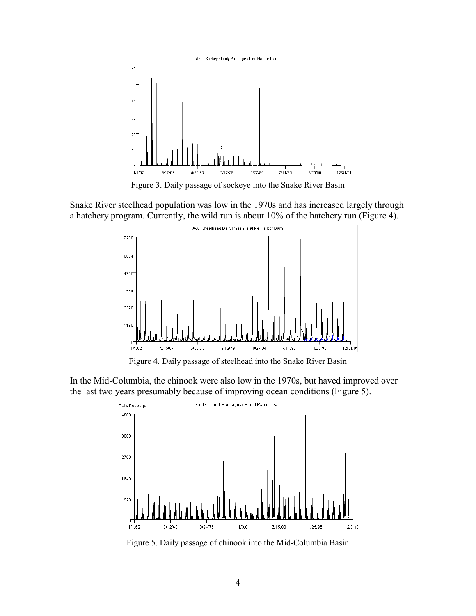<span id="page-3-0"></span>

Figure 3. Daily passage of sockeye into the Snake River Basin

Snake River steelhead population was low in the 1970s and has increased largely through a hatchery program. Currently, the wild run is about 10% of the hatchery run [\(Figure 4\)](#page-3-1).

<span id="page-3-1"></span>

Figure 4. Daily passage of steelhead into the Snake River Basin

In the Mid-Columbia, the chinook were also low in the 1970s, but haved improved over the last two years presumably because of improving ocean conditions [\(Figure 5\)](#page-3-2).

<span id="page-3-2"></span>

Figure 5. Daily passage of chinook into the Mid-Columbia Basin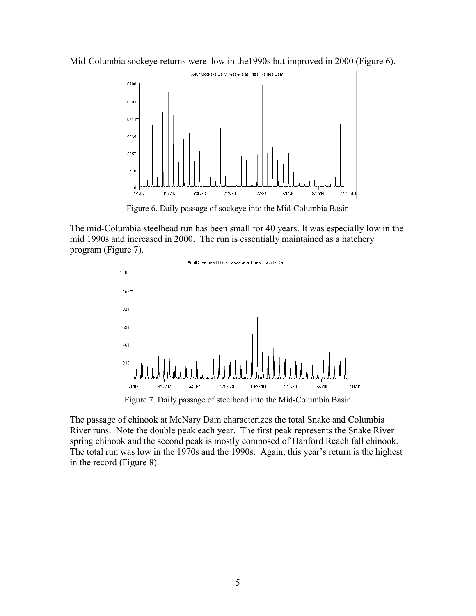

<span id="page-4-0"></span>

Figure 6. Daily passage of sockeye into the Mid-Columbia Basin

The mid-Columbia steelhead run has been small for 40 years. It was especially low in the mid 1990s and increased in 2000. The run is essentially maintained as a hatchery program [\(Figure 7\)](#page-4-1).

<span id="page-4-1"></span>

Figure 7. Daily passage of steelhead into the Mid-Columbia Basin

The passage of chinook at McNary Dam characterizes the total Snake and Columbia River runs. Note the double peak each year. The first peak represents the Snake River spring chinook and the second peak is mostly composed of Hanford Reach fall chinook. The total run was low in the 1970s and the 1990s. Again, this year's return is the highest in the record [\(Figure 8\)](#page-5-0).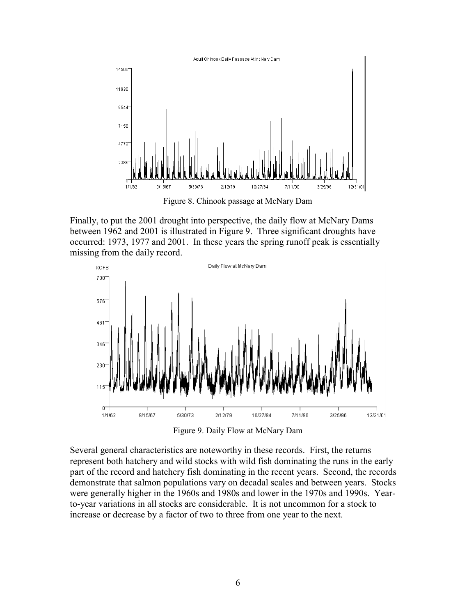<span id="page-5-0"></span>

<span id="page-5-1"></span>Figure 8. Chinook passage at McNary Dam

Finally, to put the 2001 drought into perspective, the daily flow at McNary Dams between 1962 and 2001 is illustrated in [Figure 9.](#page-5-1) Three significant droughts have occurred: 1973, 1977 and 2001. In these years the spring runoff peak is essentially missing from the daily record.



Figure 9. Daily Flow at McNary Dam

Several general characteristics are noteworthy in these records. First, the returns represent both hatchery and wild stocks with wild fish dominating the runs in the early part of the record and hatchery fish dominating in the recent years. Second, the records demonstrate that salmon populations vary on decadal scales and between years. Stocks were generally higher in the 1960s and 1980s and lower in the 1970s and 1990s. Yearto-year variations in all stocks are considerable. It is not uncommon for a stock to increase or decrease by a factor of two to three from one year to the next.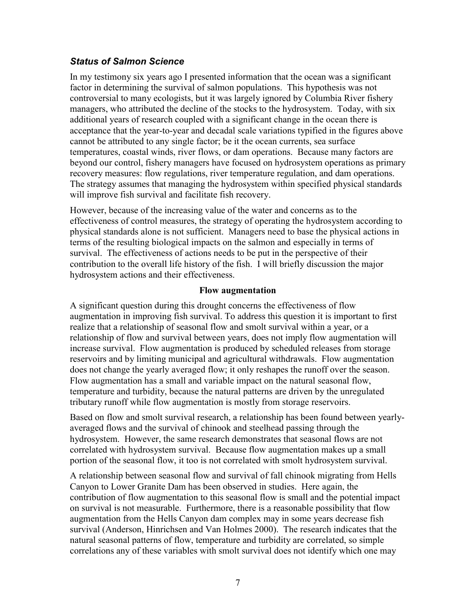## *Status of Salmon Science*

In my testimony six years ago I presented information that the ocean was a significant factor in determining the survival of salmon populations. This hypothesis was not controversial to many ecologists, but it was largely ignored by Columbia River fishery managers, who attributed the decline of the stocks to the hydrosystem. Today, with six additional years of research coupled with a significant change in the ocean there is acceptance that the year-to-year and decadal scale variations typified in the figures above cannot be attributed to any single factor; be it the ocean currents, sea surface temperatures, coastal winds, river flows, or dam operations. Because many factors are beyond our control, fishery managers have focused on hydrosystem operations as primary recovery measures: flow regulations, river temperature regulation, and dam operations. The strategy assumes that managing the hydrosystem within specified physical standards will improve fish survival and facilitate fish recovery.

However, because of the increasing value of the water and concerns as to the effectiveness of control measures, the strategy of operating the hydrosystem according to physical standards alone is not sufficient. Managers need to base the physical actions in terms of the resulting biological impacts on the salmon and especially in terms of survival. The effectiveness of actions needs to be put in the perspective of their contribution to the overall life history of the fish. I will briefly discussion the major hydrosystem actions and their effectiveness.

### **Flow augmentation**

A significant question during this drought concerns the effectiveness of flow augmentation in improving fish survival. To address this question it is important to first realize that a relationship of seasonal flow and smolt survival within a year, or a relationship of flow and survival between years, does not imply flow augmentation will increase survival. Flow augmentation is produced by scheduled releases from storage reservoirs and by limiting municipal and agricultural withdrawals. Flow augmentation does not change the yearly averaged flow; it only reshapes the runoff over the season. Flow augmentation has a small and variable impact on the natural seasonal flow, temperature and turbidity, because the natural patterns are driven by the unregulated tributary runoff while flow augmentation is mostly from storage reservoirs.

Based on flow and smolt survival research, a relationship has been found between yearlyaveraged flows and the survival of chinook and steelhead passing through the hydrosystem. However, the same research demonstrates that seasonal flows are not correlated with hydrosystem survival. Because flow augmentation makes up a small portion of the seasonal flow, it too is not correlated with smolt hydrosystem survival.

A relationship between seasonal flow and survival of fall chinook migrating from Hells Canyon to Lower Granite Dam has been observed in studies. Here again, the contribution of flow augmentation to this seasonal flow is small and the potential impact on survival is not measurable. Furthermore, there is a reasonable possibility that flow augmentation from the Hells Canyon dam complex may in some years decrease fish survival (Anderson, Hinrichsen and Van Holmes 2000). The research indicates that the natural seasonal patterns of flow, temperature and turbidity are correlated, so simple correlations any of these variables with smolt survival does not identify which one may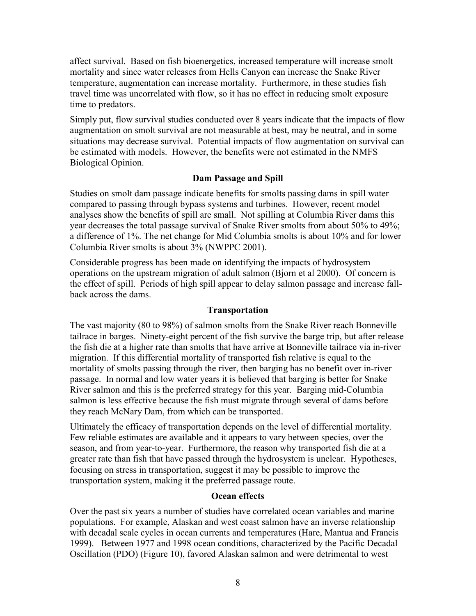affect survival. Based on fish bioenergetics, increased temperature will increase smolt mortality and since water releases from Hells Canyon can increase the Snake River temperature, augmentation can increase mortality. Furthermore, in these studies fish travel time was uncorrelated with flow, so it has no effect in reducing smolt exposure time to predators.

Simply put, flow survival studies conducted over 8 years indicate that the impacts of flow augmentation on smolt survival are not measurable at best, may be neutral, and in some situations may decrease survival. Potential impacts of flow augmentation on survival can be estimated with models. However, the benefits were not estimated in the NMFS Biological Opinion.

## **Dam Passage and Spill**

Studies on smolt dam passage indicate benefits for smolts passing dams in spill water compared to passing through bypass systems and turbines. However, recent model analyses show the benefits of spill are small. Not spilling at Columbia River dams this year decreases the total passage survival of Snake River smolts from about 50% to 49%; a difference of 1%. The net change for Mid Columbia smolts is about 10% and for lower Columbia River smolts is about 3% (NWPPC 2001).

Considerable progress has been made on identifying the impacts of hydrosystem operations on the upstream migration of adult salmon (Bjorn et al 2000). Of concern is the effect of spill. Periods of high spill appear to delay salmon passage and increase fallback across the dams.

### **Transportation**

The vast majority (80 to 98%) of salmon smolts from the Snake River reach Bonneville tailrace in barges. Ninety-eight percent of the fish survive the barge trip, but after release the fish die at a higher rate than smolts that have arrive at Bonneville tailrace via in-river migration. If this differential mortality of transported fish relative is equal to the mortality of smolts passing through the river, then barging has no benefit over in-river passage. In normal and low water years it is believed that barging is better for Snake River salmon and this is the preferred strategy for this year. Barging mid-Columbia salmon is less effective because the fish must migrate through several of dams before they reach McNary Dam, from which can be transported.

Ultimately the efficacy of transportation depends on the level of differential mortality. Few reliable estimates are available and it appears to vary between species, over the season, and from year-to-year. Furthermore, the reason why transported fish die at a greater rate than fish that have passed through the hydrosystem is unclear. Hypotheses, focusing on stress in transportation, suggest it may be possible to improve the transportation system, making it the preferred passage route.

### **Ocean effects**

Over the past six years a number of studies have correlated ocean variables and marine populations. For example, Alaskan and west coast salmon have an inverse relationship with decadal scale cycles in ocean currents and temperatures (Hare, Mantua and Francis 1999). Between 1977 and 1998 ocean conditions, characterized by the Pacific Decadal Oscillation (PDO) [\(Figure 10\)](#page-8-0), favored Alaskan salmon and were detrimental to west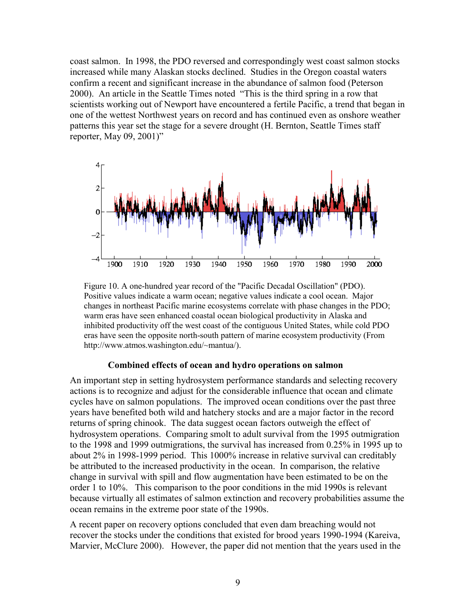coast salmon. In 1998, the PDO reversed and correspondingly west coast salmon stocks increased while many Alaskan stocks declined. Studies in the Oregon coastal waters confirm a recent and significant increase in the abundance of salmon food (Peterson 2000). An article in the Seattle Times noted "This is the third spring in a row that scientists working out of Newport have encountered a fertile Pacific, a trend that began in one of the wettest Northwest years on record and has continued even as onshore weather patterns this year set the stage for a severe drought (H. Bernton, Seattle Times staff reporter, May 09, 2001)"

<span id="page-8-0"></span>

Figure 10. A one-hundred year record of the "Pacific Decadal Oscillation" (PDO). Positive values indicate a warm ocean; negative values indicate a cool ocean. Major changes in northeast Pacific marine ecosystems correlate with phase changes in the PDO; warm eras have seen enhanced coastal ocean biological productivity in Alaska and inhibited productivity off the west coast of the contiguous United States, while cold PDO eras have seen the opposite north-south pattern of marine ecosystem productivity (From http://www.atmos.washington.edu/~mantua/).

#### **Combined effects of ocean and hydro operations on salmon**

An important step in setting hydrosystem performance standards and selecting recovery actions is to recognize and adjust for the considerable influence that ocean and climate cycles have on salmon populations. The improved ocean conditions over the past three years have benefited both wild and hatchery stocks and are a major factor in the record returns of spring chinook. The data suggest ocean factors outweigh the effect of hydrosystem operations. Comparing smolt to adult survival from the 1995 outmigration to the 1998 and 1999 outmigrations, the survival has increased from 0.25% in 1995 up to about 2% in 1998-1999 period. This 1000% increase in relative survival can creditably be attributed to the increased productivity in the ocean. In comparison, the relative change in survival with spill and flow augmentation have been estimated to be on the order 1 to 10%. This comparison to the poor conditions in the mid 1990s is relevant because virtually all estimates of salmon extinction and recovery probabilities assume the ocean remains in the extreme poor state of the 1990s.

A recent paper on recovery options concluded that even dam breaching would not recover the stocks under the conditions that existed for brood years 1990-1994 (Kareiva, Marvier, McClure 2000). However, the paper did not mention that the years used in the